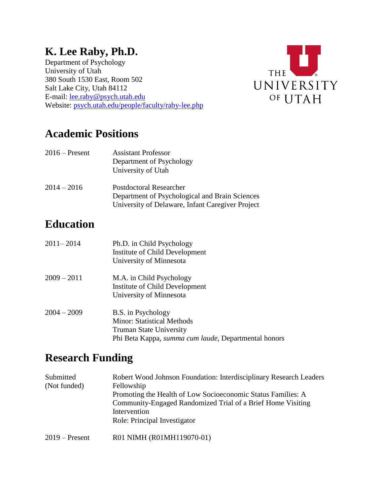# **K. Lee Raby, Ph.D.**

Department of Psychology University of Utah 380 South 1530 East, Room 502 Salt Lake City, Utah 84112 E-mail: [lee.raby@psych.utah.edu](mailto:lee.raby@psych.utah.edu) Website: [psych.utah.edu/people/faculty/raby-lee.php](https://psych.utah.edu/people/faculty/raby-lee.php)



### **Academic Positions**

| $2016$ – Present | <b>Assistant Professor</b><br>Department of Psychology<br>University of Utah |  |
|------------------|------------------------------------------------------------------------------|--|
| 2014<br>- 2016   | Doctdoctoral Decearcher                                                      |  |

2014 – 2016 Postdoctoral Researcher Department of Psychological and Brain Sciences University of Delaware, Infant Caregiver Project

## **Education**

| 2011–2014     | Ph.D. in Child Psychology<br>Institute of Child Development<br>University of Minnesota                                                            |
|---------------|---------------------------------------------------------------------------------------------------------------------------------------------------|
| $2009 - 2011$ | M.A. in Child Psychology<br>Institute of Child Development<br>University of Minnesota                                                             |
| $2004 - 2009$ | B.S. in Psychology<br><b>Minor: Statistical Methods</b><br><b>Truman State University</b><br>Phi Beta Kappa, summa cum laude, Departmental honors |

### **Research Funding**

| Submitted<br>(Not funded) | Robert Wood Johnson Foundation: Interdisciplinary Research Leaders<br>Fellowship<br>Promoting the Health of Low Socioeconomic Status Families: A<br>Community-Engaged Randomized Trial of a Brief Home Visiting<br>Intervention |
|---------------------------|---------------------------------------------------------------------------------------------------------------------------------------------------------------------------------------------------------------------------------|
|                           | Role: Principal Investigator                                                                                                                                                                                                    |
| $2019$ – Present          | R01 NIMH (R01MH119070-01)                                                                                                                                                                                                       |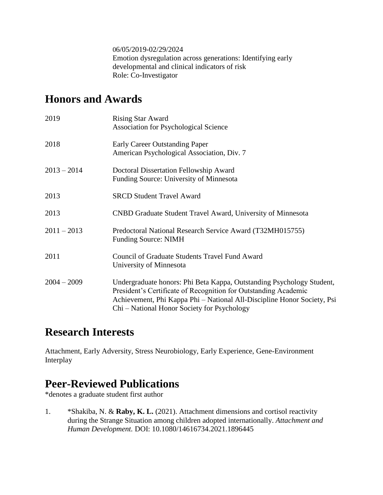06/05/2019-02/29/2024 Emotion dysregulation across generations: Identifying early developmental and clinical indicators of risk Role: Co-Investigator

### **Honors and Awards**

| 2019          | <b>Rising Star Award</b><br><b>Association for Psychological Science</b>                                                                                                                                                                                           |
|---------------|--------------------------------------------------------------------------------------------------------------------------------------------------------------------------------------------------------------------------------------------------------------------|
| 2018          | Early Career Outstanding Paper<br>American Psychological Association, Div. 7                                                                                                                                                                                       |
| $2013 - 2014$ | Doctoral Dissertation Fellowship Award<br>Funding Source: University of Minnesota                                                                                                                                                                                  |
| 2013          | <b>SRCD Student Travel Award</b>                                                                                                                                                                                                                                   |
| 2013          | CNBD Graduate Student Travel Award, University of Minnesota                                                                                                                                                                                                        |
| $2011 - 2013$ | Predoctoral National Research Service Award (T32MH015755)<br><b>Funding Source: NIMH</b>                                                                                                                                                                           |
| 2011          | <b>Council of Graduate Students Travel Fund Award</b><br>University of Minnesota                                                                                                                                                                                   |
| $2004 - 2009$ | Undergraduate honors: Phi Beta Kappa, Outstanding Psychology Student,<br>President's Certificate of Recognition for Outstanding Academic<br>Achievement, Phi Kappa Phi - National All-Discipline Honor Society, Psi<br>Chi – National Honor Society for Psychology |

### **Research Interests**

Attachment, Early Adversity, Stress Neurobiology, Early Experience, Gene-Environment Interplay

### **Peer-Reviewed Publications**

\*denotes a graduate student first author

1. \*Shakiba, N. & **Raby, K. L.** (2021). Attachment dimensions and cortisol reactivity during the Strange Situation among children adopted internationally. *Attachment and Human Development.* DOI: 10.1080/14616734.2021.1896445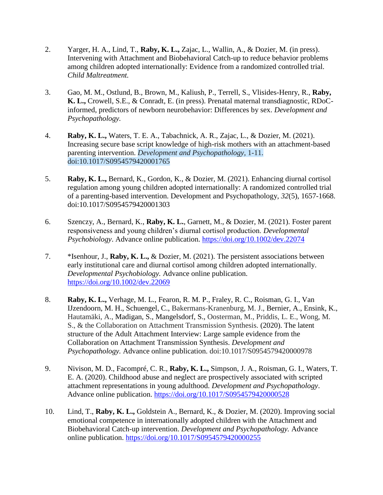- 2. Yarger, H. A., Lind, T., **Raby, K. L.,** Zajac, L., Wallin, A., & Dozier, M. (in press). Intervening with Attachment and Biobehavioral Catch-up to reduce behavior problems among children adopted internationally: Evidence from a randomized controlled trial. *Child Maltreatment.*
- 3. Gao, M. M., Ostlund, B., Brown, M., Kaliush, P., Terrell, S., Vlisides-Henry, R., **Raby, K. L.,** Crowell, S.E., & Conradt, E. (in press). Prenatal maternal transdiagnostic, RDoCinformed, predictors of newborn neurobehavior: Differences by sex. *Development and Psychopathology.*
- 4. **Raby, K. L.,** Waters, T. E. A., Tabachnick, A. R., Zajac, L., & Dozier, M. (2021). Increasing secure base script knowledge of high-risk mothers with an attachment-based parenting intervention. *Development and Psychopathology,* 1-11. doi:10.1017/S0954579420001765
- 5. **Raby, K. L.,** Bernard, K., Gordon, K., & Dozier, M. (2021). Enhancing diurnal cortisol regulation among young children adopted internationally: A randomized controlled trial of a parenting-based intervention. Development and Psychopathology, *32*(5), 1657-1668. doi:10.1017/S0954579420001303
- 6. Szenczy, A., Bernard, K., **Raby, K. L.**, Garnett, M., & Dozier, M. (2021). Foster parent responsiveness and young children's diurnal cortisol production. *Developmental Psychobiology*. Advance online publication. <https://doi.org/10.1002/dev.22074>
- 7. \*Isenhour, J., **Raby, K. L.,** & Dozier, M. (2021). The persistent associations between early institutional care and diurnal cortisol among children adopted internationally. *Developmental Psychobiology.* Advance online publication. <https://doi.org/10.1002/dev.22069>
- 8. **Raby, K. L.,** Verhage, M. L., Fearon, R. M. P., Fraley, R. C., Roisman, G. I., Van IJzendoorn, M. H., Schuengel, C., Bakermans-Kranenburg, M. J., Bernier, A., Ensink, K., Hautamäki, A., Madigan, S., Mangelsdorf, S., Oosterman, M., Priddis, L. E., Wong, M. S., & the Collaboration on Attachment Transmission Synthesis. (2020). The latent structure of the Adult Attachment Interview: Large sample evidence from the Collaboration on Attachment Transmission Synthesis. *Development and Psychopathology.* Advance online publication. doi:10.1017/S0954579420000978
- 9. Nivison, M. D., Facompré, C. R., **Raby, K. L.,** Simpson, J. A., Roisman, G. I., Waters, T. E. A. (2020). Childhood abuse and neglect are prospectively associated with scripted attachment representations in young adulthood. *Development and Psychopathology*. Advance online publication. <https://doi.org/10.1017/S0954579420000528>
- 10. Lind, T., **Raby, K. L.,** Goldstein A., Bernard, K., & Dozier, M. (2020). Improving social emotional competence in internationally adopted children with the Attachment and Biobehavioral Catch-up intervention. *Development and Psychopathology.* Advance online publication. <https://doi.org/10.1017/S0954579420000255>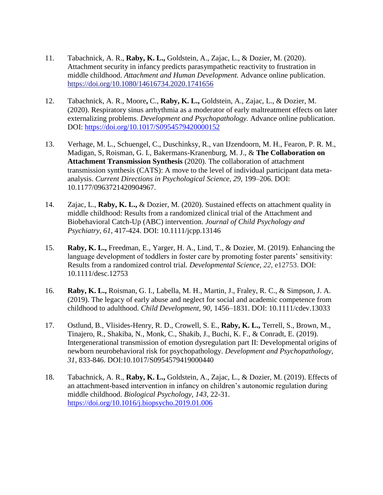- 11. Tabachnick, A. R., **Raby, K. L.,** Goldstein, A., Zajac, L., & Dozier, M. (2020). Attachment security in infancy predicts parasympathetic reactivity to frustration in middle childhood. *Attachment and Human Development.* Advance online publication. <https://doi.org/10.1080/14616734.2020.1741656>
- 12. Tabachnick, A. R., Moore**,** C., **Raby, K. L.,** Goldstein, A., Zajac, L., & Dozier, M. (2020). Respiratory sinus arrhythmia as a moderator of early maltreatment effects on later externalizing problems. *Development and Psychopathology.* Advance online publication. DOI:<https://doi.org/10.1017/S0954579420000152>
- 13. Verhage, M. L., Schuengel, C., Duschinksy, R., van IJzendoorn, M. H., Fearon, P. R. M., Madigan, S, Roisman, G. I., Bakermans-Kranenburg, M. J., & **The Collaboration on Attachment Transmission Synthesis** (2020). The collaboration of attachment transmission synthesis (CATS): A move to the level of individual participant data metaanalysis. *Current Directions in Psychological Science, 29,* 199–206. DOI: 10.1177/0963721420904967.
- 14. Zajac, L., **Raby, K. L.,** & Dozier, M. (2020). Sustained effects on attachment quality in middle childhood: Results from a randomized clinical trial of the Attachment and Biobehavioral Catch-Up (ABC) intervention. *Journal of Child Psychology and Psychiatry, 61*, 417-424. DOI: 10.1111/jcpp.13146
- 15. **Raby, K. L.,** Freedman, E., Yarger, H. A., Lind, T., & Dozier, M. (2019). Enhancing the language development of toddlers in foster care by promoting foster parents' sensitivity: Results from a randomized control trial. *Developmental Science, 22*, e12753. DOI: 10.1111/desc.12753
- 16. **Raby, K. L.,** Roisman, G. I., Labella, M. H., Martin, J., Fraley, R. C., & Simpson, J. A. (2019). The legacy of early abuse and neglect for social and academic competence from childhood to adulthood. *Child Development, 90*, 1456–1831. DOI: 10.1111/cdev.13033
- 17. Ostlund, B., Vlisides-Henry, R. D., Crowell, S. E., **Raby, K. L.,** Terrell, S., Brown, M., Tinajero, R., Shakiba, N., Monk, C., Shakib, J., Buchi, K. F., & Conradt, E. (2019). Intergenerational transmission of emotion dysregulation part II: Developmental origins of newborn neurobehavioral risk for psychopathology. *Development and Psychopathology, 31,* 833-846. DOI:10.1017/S0954579419000440
- 18. Tabachnick, A. R., **Raby, K. L.,** Goldstein, A., Zajac, L., & Dozier, M. (2019). Effects of an attachment-based intervention in infancy on children's autonomic regulation during middle childhood. *Biological Psychology, 143,* 22-31. <https://doi.org/10.1016/j.biopsycho.2019.01.006>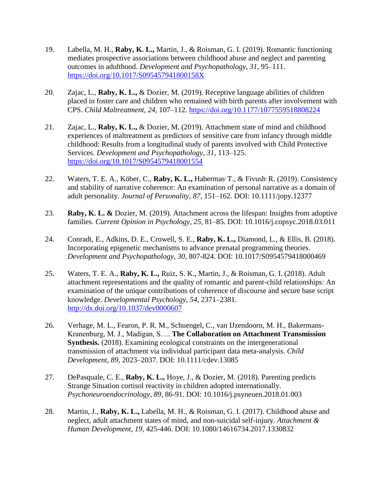- 19. Labella, M. H., **Raby, K. L.,** Martin, J., & Roisman, G. I. (2019). Romantic functioning mediates prospective associations between childhood abuse and neglect and parenting outcomes in adulthood. *Development and Psychopathology*, *31*, 95–111. <https://doi.org/10.1017/S095457941800158X>
- 20. Zajac, L., **Raby, K. L.,** & Dozier, M. (2019). Receptive language abilities of children placed in foster care and children who remained with birth parents after involvement with CPS. *Child Maltreatment*, *24*, 107–112.<https://doi.org/10.1177/1077559518808224>
- 21. Zajac, L., **Raby, K. L.,** & Dozier, M. (2019). Attachment state of mind and childhood experiences of maltreatment as predictors of sensitive care from infancy through middle childhood: Results from a longitudinal study of parents involved with Child Protective Services. *Development and Psychopathology*, *31*, 113–125. <https://doi.org/10.1017/S0954579418001554>
- 22. Waters, T. E. A., Köber, C., Raby, K. L., Habermas<sup>,</sup> T., & Fivush<sup>,</sup> R. (2019). Consistency and stability of narrative coherence: An examination of personal narrative as a domain of adult personality. *Journal of Personality, 87,* 151–162*.* DOI: 10.1111/jopy.12377
- 23. **Raby, K. L. &** Dozier, M. (2019). Attachment across the lifespan: Insights from adoptive families. *Current Opinion in Psychology, 25,* 81–85. DOI: 10.1016/j.copsyc.2018.03.011
- 24. Conradt, E., Adkins, D. E., Crowell, S. E., **Raby, K. L.,** Diamond, L., & Ellis, B. (2018). Incorporating epigenetic mechanisms to advance prenatal programming theories. *Development and Psychopathology*, *30*, 807-824. DOI: 10.1017/S0954579418000469
- 25. Waters, T. E. A., **Raby, K. L.,** Ruiz, S. K., Martin, J., & Roisman, G. I. (2018). Adult attachment representations and the quality of romantic and parent-child relationships: An examination of the unique contributions of coherence of discourse and secure base script knowledge. *Developmental Psychology, 54*, 2371–2381. <http://dx.doi.org/10.1037/dev0000607>
- 26. Verhage, M. L., Fearon, P. R. M., Schuengel, C., van IJzendoorn, M. H., Bakermans-Kranenburg, M. J., Madigan, S…. **The Collaboration on Attachment Transmission Synthesis.** (2018). Examining ecological constraints on the intergenerational transmission of attachment via individual participant data meta-analysis. *Child Development, 89,* 2023–2037. DOI: 10.1111/cdev.13085
- 27. DePasquale, C. E., **Raby, K. L.,** Hoye, J., & Dozier, M. (2018). Parenting predicts Strange Situation cortisol reactivity in children adopted internationally. *Psychoneuroendocrinology*, *89*, 86-91. DOI: 10.1016/j.psyneuen.2018.01.003
- 28. Martin, J., **Raby, K. L.,** Labella, M. H., & Roisman, G. I. (2017). Childhood abuse and neglect, adult attachment states of mind, and non-suicidal self-injury. *Attachment & Human Development*, *19*, 425-446. DOI: 10.1080/14616734.2017.1330832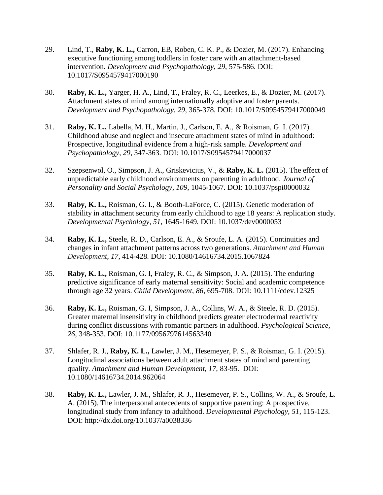- 29. Lind, T., **Raby, K. L.,** Carron, EB, Roben, C. K. P., & Dozier, M. (2017). Enhancing executive functioning among toddlers in foster care with an attachment-based intervention. *Development and Psychopathology*, *29*, 575-586. DOI: 10.1017/S0954579417000190
- 30. **Raby, K. L.,** Yarger, H. A., Lind, T., Fraley, R. C., Leerkes, E., & Dozier, M. (2017). Attachment states of mind among internationally adoptive and foster parents. *Development and Psychopathology*, *29*, 365-378. DOI: 10.1017/S0954579417000049
- 31. **Raby, K. L.,** Labella, M. H., Martin, J., Carlson, E. A., & Roisman, G. I. (2017). Childhood abuse and neglect and insecure attachment states of mind in adulthood: Prospective, longitudinal evidence from a high-risk sample. *Development and Psychopathology*, *29*, 347-363. DOI: 10.1017/S0954579417000037
- 32. Szepsenwol, O., Simpson, J. A., Griskevicius, V., & **Raby, K. L.** (2015). The effect of unpredictable early childhood environments on parenting in adulthood. *Journal of Personality and Social Psychology*, *109*, 1045-1067. DOI: [10.1037/pspi0000032](http://psycnet.apa.org/doi/10.1037/pspi0000032)
- 33. **Raby, K. L.,** Roisman, G. I., & Booth-LaForce, C. (2015). Genetic moderation of stability in attachment security from early childhood to age 18 years: A replication study. *Developmental Psychology, 51*, 1645-1649*.* DOI: 10.1037/dev0000053
- 34. **Raby, K. L.,** Steele, R. D., Carlson, E. A., & Sroufe, L. A. (2015). Continuities and changes in infant attachment patterns across two generations. *Attachment and Human Development*, *17*, 414-428*.* DOI: 10.1080/14616734.2015.1067824
- 35. **Raby, K. L.,** Roisman, G. I, Fraley, R. C., & Simpson, J. A. (2015). The enduring predictive significance of early maternal sensitivity: Social and academic competence through age 32 years. *Child Development*, *86*, 695-708. DOI: 10.1111/cdev.12325
- 36. **Raby, K. L.,** Roisman, G. I, Simpson, J. A., Collins, W. A., & Steele, R. D. (2015). Greater maternal insensitivity in childhood predicts greater electrodermal reactivity during conflict discussions with romantic partners in adulthood. *Psychological Science, 26*, 348-353. DOI: 10.1177/0956797614563340
- 37. Shlafer, R. J., **Raby, K. L.,** Lawler, J. M., Hesemeyer, P. S., & Roisman, G. I. (2015). Longitudinal associations between adult attachment states of mind and parenting quality. *Attachment and Human Development, 17*, 83-95. DOI: 10.1080/14616734.2014.962064
- 38. **Raby, K. L.,** Lawler, J. M., Shlafer, R. J., Hesemeyer, P. S., Collins, W. A., & Sroufe, L. A. (2015). The interpersonal antecedents of supportive parenting: A prospective, longitudinal study from infancy to adulthood. *Developmental Psychology, 51*, 115-123. DOI: http://dx.doi.org/10.1037/a0038336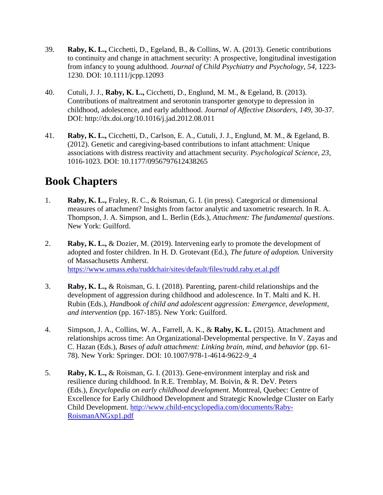- 39. **Raby, K. L.,** Cicchetti, D., Egeland, B., & Collins, W. A. (2013). Genetic contributions to continuity and change in attachment security: A prospective, longitudinal investigation from infancy to young adulthood. *Journal of Child Psychiatry and Psychology, 54*, 1223- 1230*.* DOI: 10.1111/jcpp.12093
- 40. Cutuli, J. J., **Raby, K. L.,** Cicchetti, D., Englund, M. M., & Egeland, B. (2013). Contributions of maltreatment and serotonin transporter genotype to depression in childhood, adolescence, and early adulthood. *Journal of Affective Disorders, 149,* 30-37. DOI: http://dx.doi.org/10.1016/j.jad.2012.08.011
- 41. **Raby, K. L.,** Cicchetti, D., Carlson, E. A., Cutuli, J. J., Englund, M. M., & Egeland, B. (2012). Genetic and caregiving-based contributions to infant attachment: Unique associations with distress reactivity and attachment security. *Psychological Science*, *23,* 1016-1023. DOI: 10.1177/0956797612438265

### **Book Chapters**

- 1. **Raby, K. L.,** Fraley, R. C., & Roisman, G. I. (in press). Categorical or dimensional measures of attachment? Insights from factor analytic and taxometric research. In R. A. Thompson, J. A. Simpson, and L. Berlin (Eds.), *Attachment: The fundamental questions*. New York: Guilford.
- 2. **Raby, K. L.,** & Dozier, M. (2019). Intervening early to promote the development of adopted and foster children. In H. D. Grotevant (Ed.), *The future of adoption.* University of Massachusetts Amherst. <https://www.umass.edu/ruddchair/sites/default/files/rudd.raby.et.al.pdf>
- 3. **Raby, K. L.,** & Roisman, G. I. (2018). Parenting, parent-child relationships and the development of aggression during childhood and adolescence. In T. Malti and K. H. Rubin (Eds.), *Handbook of child and adolescent aggression: Emergence, development, and intervention* (pp. 167-185). New York: Guilford.
- 4. Simpson, J. A., Collins, W. A., Farrell, A. K., & **Raby, K. L.** (2015). Attachment and relationships across time: An Organizational-Developmental perspective. In V. Zayas and C. Hazan (Eds.), *Bases of adult attachment: Linking brain, mind, and behavior* (pp. 61- 78). New York: Springer. DOI: 10.1007/978-1-4614-9622-9\_4
- 5. **Raby, K. L.,** & Roisman, G. I. (2013). Gene-environment interplay and risk and resilience during childhood. In R.E. Tremblay, M. Boivin, & R. DeV. Peters (Eds.), *Encyclopedia on early childhood development.* Montreal, Quebec: Centre of Excellence for Early Childhood Development and Strategic Knowledge Cluster on Early Child Development. [http://www.child-encyclopedia.com/documents/Raby-](http://www.child-encyclopedia.com/documents/Raby-RoismanANGxp1.pdf)[RoismanANGxp1.pdf](http://www.child-encyclopedia.com/documents/Raby-RoismanANGxp1.pdf)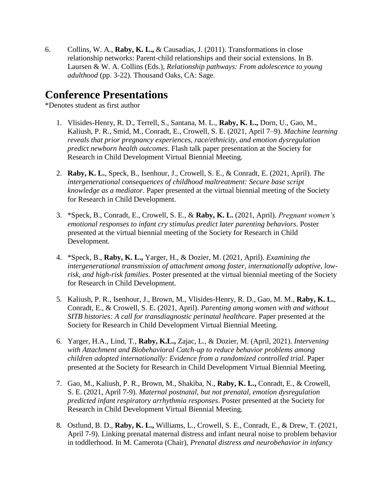6. Collins, W. A., **Raby, K. L.,** & Causadias, J. (2011). Transformations in close relationship networks: Parent-child relationships and their social extensions. In B. Laursen & W. A. Collins (Eds.), *Relationship pathways: From adolescence to young adulthood* (pp. 3-22). Thousand Oaks, CA: Sage.

## **Conference Presentations**

\*Denotes student as first author

- 1. Vlisides-Henry, R. D., Terrell, S., Santana, M. L., **Raby, K. L.,** Dorn, U., Gao, M., Kaliush, P. R., Smid, M., Conradt, E., Crowell, S. E. (2021, April 7–9). *Machine learning reveals that prior pregnancy experiences, race/ethnicity, and emotion dysregulation predict newborn health outcomes*. Flash talk paper presentation at the Society for Research in Child Development Virtual Biennial Meeting.
- 2. **Raby, K. L.**, Speck, B., Isenhour, J., Crowell, S. E., & Conradt, E. (2021, April). *The intergenerational consequences of childhood maltreatment: Secure base script knowledge as a mediator*. Paper presented at the virtual biennial meeting of the Society for Research in Child Development.
- 3. \*Speck, B., Conradt, E., Crowell, S. E., & **Raby, K. L.** (2021, April). *Pregnant women's emotional responses to infant cry stimulus predict later parenting behaviors*. Poster presented at the virtual biennial meeting of the Society for Research in Child Development.
- 4. \*Speck, B., **Raby, K. L.,** Yarger, H., & Dozier, M. (2021, April). *Examining the intergenerational transmission of attachment among foster, internationally adoptive, lowrisk, and high-risk families.* Poster presented at the virtual biennial meeting of the Society for Research in Child Development.
- 5. Kaliush, P. R., Isenhour, J., Brown, M., Vlisides-Henry, R. D., Gao, M. M., **Raby, K. L.**, Conradt, E., & Crowell, S. E. (2021, April). *Parenting among women with and without SITB histories: A call for transdiagnostic perinatal healthcare*. Paper presented at the Society for Research in Child Development Virtual Biennial Meeting.
- 6. Yarger, H.A., Lind, T., **Raby, K.L.,** Zajac, L., & Dozier, M. (April, 2021). *Intervening with Attachment and Biobehavioral Catch-up to reduce behavior problems among children adopted internationally: Evidence from a randomized controlled trial.* Paper presented at the Society for Research in Child Development Virtual Biennial Meeting.
- 7. Gao, M., Kaliush, P. R., Brown, M., Shakiba, N., **Raby, K. L.,** Conradt, E., & Crowell, S. E. (2021, April 7-9). *Maternal postnatal, but not prenatal, emotion dysregulation predicted infant respiratory arrhythmia responses*. Poster presented at the Society for Research in Child Development Virtual Biennial Meeting.
- 8. Ostlund, B. D., **Raby, K. L.,** Williams, L., Crowell, S. E., Conradt, E., & Drew, T. (2021, April 7-9). Linking prenatal maternal distress and infant neural noise to problem behavior in toddlerhood. In M. Camerota (Chair), *Prenatal distress and neurobehavior in infancy*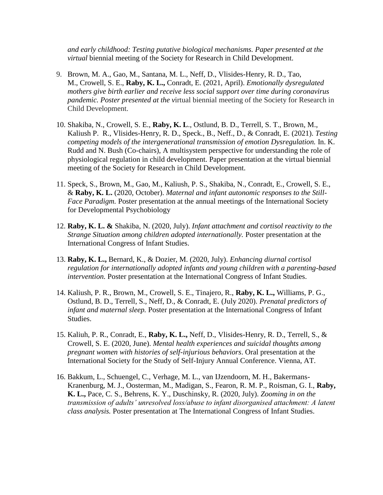*and early childhood: Testing putative biological mechanisms. Paper presented at the virtual* biennial meeting of the Society for Research in Child Development.

- 9. Brown, M. A., Gao, M., Santana, M. L., Neff, D., Vlisides-Henry, R. D., Tao, M., Crowell, S. E., **Raby, K. L.,** Conradt, E. (2021, April). *Emotionally dysregulated mothers give birth earlier and receive less social support over time during coronavirus pandemic. Poster presented at the v*irtual biennial meeting of the Society for Research in Child Development.
- 10. Shakiba, N., Crowell, S. E., **Raby, K. L**., Ostlund, B. D., Terrell, S. T., Brown, M., Kaliush P. R., Vlisides-Henry, R. D., Speck., B., Neff., D., & Conradt, E. (2021). *Testing competing models of the intergenerational transmission of emotion Dysregulation.* In. K. Rudd and N. Bush (Co-chairs), A multisystem perspective for understanding the role of physiological regulation in child development. Paper presentation at the virtual biennial meeting of the Society for Research in Child Development.
- 11. Speck, S., Brown, M., Gao, M., Kaliush, P. S., Shakiba, N., Conradt, E., Crowell, S. E., & **Raby, K. L.** (2020, October). *Maternal and infant autonomic responses to the Still-Face Paradigm.* Poster presentation at the annual meetings of the International Society for Developmental Psychobiology
- 12. **Raby, K. L. &** Shakiba, N. (2020, July). *Infant attachment and cortisol reactivity to the Strange Situation among children adopted internationally.* Poster presentation at the International Congress of Infant Studies.
- 13. **Raby, K. L.,** Bernard, K., & Dozier, M. (2020, July). *Enhancing diurnal cortisol regulation for internationally adopted infants and young children with a parenting-based intervention.* Poster presentation at the International Congress of Infant Studies.
- 14. Kaliush, P. R., Brown, M., Crowell, S. E., Tinajero, R., **Raby, K. L.,** Williams, P. G., Ostlund, B. D., Terrell, S., Neff, D., & Conradt, E. (July 2020). *Prenatal predictors of infant and maternal sleep.* Poster presentation at the International Congress of Infant Studies.
- 15. Kaliuh, P. R., Conradt, E., **Raby, K. L.,** Neff, D., Vlisides-Henry, R. D., Terrell, S., & Crowell, S. E. (2020, June). *Mental health experiences and suicidal thoughts among pregnant women with histories of self-injurious behaviors*. Oral presentation at the International Society for the Study of Self-Injury Annual Conference. Vienna, AT.
- 16. Bakkum, L., Schuengel, C., Verhage, M. L., van IJzendoorn, M. H., Bakermans-Kranenburg, M. J., Oosterman, M., Madigan, S., Fearon, R. M. P., Roisman, G. I., **Raby, K. L.,** Pace, C. S., Behrens, K. Y., Duschinsky, R. (2020, July). *Zooming in on the transmission of adults' unresolved loss/abuse to infant disorganised attachment: A latent class analysis.* Poster presentation at The International Congress of Infant Studies.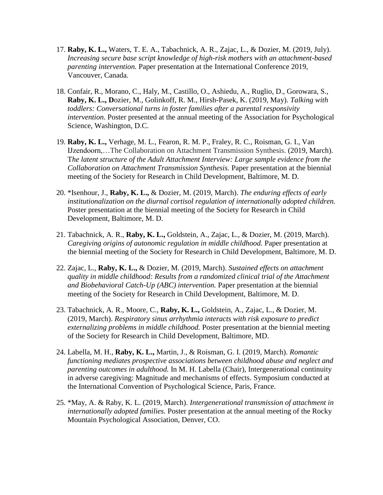- 17. **Raby, K. L.,** Waters, T. E. A., Tabachnick, A. R., Zajac, L., & Dozier, M. (2019, July). *Increasing secure base script knowledge of high-risk mothers with an attachment-based parenting intervention.* Paper presentation at the International Conference 2019, Vancouver, Canada.
- 18. Confair, R., Morano, C., Haly, M., Castillo, O., Ashiedu, A., Ruglio, D., Gorowara, S., **Raby, K. L., D**ozier, M., Golinkoff, R. M., Hirsh-Pasek, K. (2019, May). *Talking with toddlers: Conversational turns in foster families after a parental responsivity intervention.* Poster presented at the annual meeting of the Association for Psychological Science, Washington, D.C.
- 19. **Raby, K. L.,** Verhage, M. L., Fearon, R. M. P., Fraley, R. C., Roisman, G. I., Van IJzendoorn,…The Collaboration on Attachment Transmission Synthesis. (2019, March). T*he latent structure of the Adult Attachment Interview: Large sample evidence from the Collaboration on Attachment Transmission Synthesis.* Paper presentation at the biennial meeting of the Society for Research in Child Development, Baltimore, M. D.
- 20. \*Isenhour, J., **Raby, K. L.,** & Dozier, M. (2019, March). *The enduring effects of early institutionalization on the diurnal cortisol regulation of internationally adopted children.*  Poster presentation at the biennial meeting of the Society for Research in Child Development, Baltimore, M. D.
- 21. Tabachnick, A. R., **Raby, K. L.,** Goldstein, A., Zajac, L., & Dozier, M. (2019, March). *Caregiving origins of autonomic regulation in middle childhood.* Paper presentation at the biennial meeting of the Society for Research in Child Development, Baltimore, M. D.
- 22. Zajac, L., **Raby, K. L.,** & Dozier, M. (2019, March). *Sustained effects on attachment quality in middle childhood: Results from a randomized clinical trial of the Attachment and Biobehavioral Catch-Up (ABC) intervention.* Paper presentation at the biennial meeting of the Society for Research in Child Development, Baltimore, M. D.
- 23. Tabachnick, A. R., Moore, C., **Raby, K. L.,** Goldstein, A., Zajac, L., & Dozier, M. (2019, March). *Respiratory sinus arrhythmia interacts with risk exposure to predict externalizing problems in middle childhood.* Poster presentation at the biennial meeting of the Society for Research in Child Development, Baltimore, MD.
- 24. Labella, M. H., **Raby, K. L.,** Martin, J., & Roisman, G. I. (2019, March). *Romantic functioning mediates prospective associations between childhood abuse and neglect and parenting outcomes in adulthood.* In M. H. Labella (Chair), Intergenerational continuity in adverse caregiving: Magnitude and mechanisms of effects. Symposium conducted at the International Convention of Psychological Science, Paris, France.
- 25. \*May, A. & Raby, K. L. (2019, March). *Intergenerational transmission of attachment in internationally adopted families.* Poster presentation at the annual meeting of the Rocky Mountain Psychological Association, Denver, CO.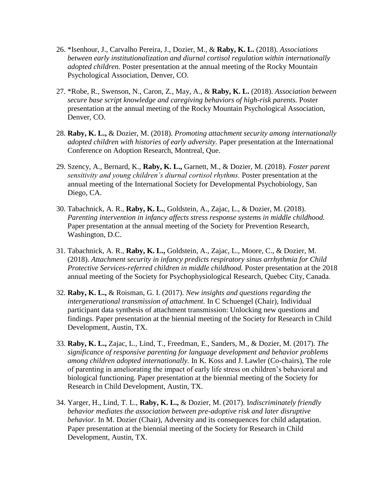- 26. \*Isenhour, J., Carvalho Pereira, J., Dozier, M., & **Raby, K. L.** (2018). *Associations between early institutionalization and diurnal cortisol regulation within internationally adopted children.* Poster presentation at the annual meeting of the Rocky Mountain Psychological Association, Denver, CO.
- 27. \*Robe, R., Swenson, N., Caron, Z., May, A., & **Raby, K. L.** (2018). *Association between secure base script knowledge and caregiving behaviors of high-risk parents.* Poster presentation at the annual meeting of the Rocky Mountain Psychological Association, Denver, CO.
- 28. **Raby, K. L.,** & Dozier, M. (2018). *Promoting attachment security among internationally adopted children with histories of early adversity.* Paper presentation at the International Conference on Adoption Research, Montreal, Que.
- 29. Szency, A., Bernard, K., **Raby, K. L.,** Garnett, M., & Dozier, M. (2018). *Foster parent sensitivity and young children's diurnal cortisol rhythms.* Poster presentation at the annual meeting of the International Society for Developmental Psychobiology, San Diego, CA.
- 30. Tabachnick, A. R., **Raby, K. L.**, Goldstein, A., Zajac, L., & Dozier, M. (2018). *Parenting intervention in infancy affects stress response systems in middle childhood.*  Paper presentation at the annual meeting of the Society for Prevention Research, Washington, D.C.
- 31. Tabachnick, A. R., **Raby, K. L.,** Goldstein, A., Zajac, L., Moore, C., & Dozier, M. (2018). *Attachment security in infancy predicts respiratory sinus arrhythmia for Child Protective Services-referred children in middle childhood.* Poster presentation at the 2018 annual meeting of the Society for Psychophysiological Research, Quebec City, Canada.
- 32. **Raby, K. L.,** & Roisman, G. I. (2017). *New insights and questions regarding the intergenerational transmission of attachment.* In C Schuengel (Chair), Individual participant data synthesis of attachment transmission: Unlocking new questions and findings. Paper presentation at the biennial meeting of the Society for Research in Child Development, Austin, TX.
- 33. **Raby, K. L.,** Zajac, L., Lind, T., Freedman, E., Sanders, M., & Dozier, M. (2017). *The significance of responsive parenting for language development and behavior problems among children adopted internationally.* In K. Koss and J. Lawler (Co-chairs), The role of parenting in ameliorating the impact of early life stress on children's behavioral and biological functioning. Paper presentation at the biennial meeting of the Society for Research in Child Development, Austin, TX.
- 34. Yarger, H., Lind, T. L., **Raby, K. L.,** & Dozier, M. (2017). I*ndiscriminately friendly behavior mediates the association between pre-adoptive risk and later disruptive behavior.* In M. Dozier (Chair), Adversity and its consequences for child adaptation. Paper presentation at the biennial meeting of the Society for Research in Child Development, Austin, TX.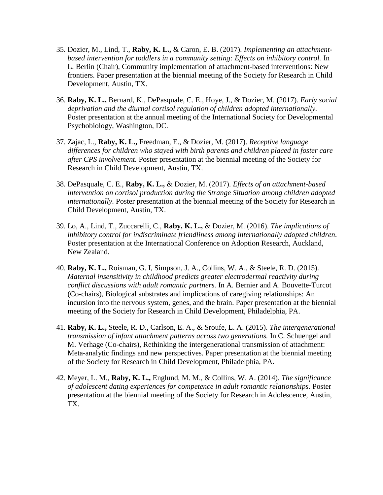- 35. Dozier, M., Lind, T., **Raby, K. L.,** & Caron, E. B. (2017). *Implementing an attachmentbased intervention for toddlers in a community setting: Effects on inhibitory control.* In L. Berlin (Chair), Community implementation of attachment-based interventions: New frontiers. Paper presentation at the biennial meeting of the Society for Research in Child Development, Austin, TX.
- 36. **Raby, K. L.,** Bernard, K., DePasquale, C. E., Hoye, J., & Dozier, M. (2017). *Early social deprivation and the diurnal cortisol regulation of children adopted internationally.*  Poster presentation at the annual meeting of the International Society for Developmental Psychobiology, Washington, DC.
- 37. Zajac, L., **Raby, K. L.,** Freedman, E., & Dozier, M. (2017). *Receptive language differences for children who stayed with birth parents and children placed in foster care after CPS involvement.* Poster presentation at the biennial meeting of the Society for Research in Child Development, Austin, TX.
- 38. DePasquale, C. E., **Raby, K. L.,** & Dozier, M. (2017). *Effects of an attachment-based intervention on cortisol production during the Strange Situation among children adopted internationally.* Poster presentation at the biennial meeting of the Society for Research in Child Development, Austin, TX.
- 39. Lo, A., Lind, T., Zuccarelli, C., **Raby, K. L.,** & Dozier, M. (2016). *The implications of inhibitory control for indiscriminate friendliness among internationally adopted children.*  Poster presentation at the International Conference on Adoption Research, Auckland, New Zealand.
- 40. **Raby, K. L.,** Roisman, G. I, Simpson, J. A., Collins, W. A., & Steele, R. D. (2015). *Maternal insensitivity in childhood predicts greater electrodermal reactivity during conflict discussions with adult romantic partners.* In A. Bernier and A. Bouvette-Turcot (Co-chairs), Biological substrates and implications of caregiving relationships: An incursion into the nervous system, genes, and the brain. Paper presentation at the biennial meeting of the Society for Research in Child Development, Philadelphia, PA.
- 41. **Raby, K. L.,** Steele, R. D., Carlson, E. A., & Sroufe, L. A. (2015). *The intergenerational transmission of infant attachment patterns across two generations.* In C. Schuengel and M. Verhage (Co-chairs), Rethinking the intergenerational transmission of attachment: Meta-analytic findings and new perspectives. Paper presentation at the biennial meeting of the Society for Research in Child Development, Philadelphia, PA.
- 42. Meyer, L. M., **Raby, K. L.,** Englund, M. M., & Collins, W. A. (2014). *The significance of adolescent dating experiences for competence in adult romantic relationships.* Poster presentation at the biennial meeting of the Society for Research in Adolescence, Austin, TX.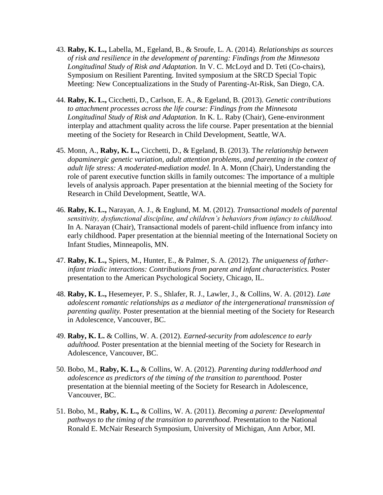- 43. **Raby, K. L.,** Labella, M., Egeland, B., & Sroufe, L. A. (2014). *Relationships as sources of risk and resilience in the development of parenting: Findings from the Minnesota Longitudinal Study of Risk and Adaptation.* In V. C. McLoyd and D. Teti (Co-chairs), Symposium on Resilient Parenting. Invited symposium at the SRCD Special Topic Meeting: New Conceptualizations in the Study of Parenting-At-Risk, San Diego, CA.
- 44. **Raby, K. L.,** Cicchetti, D., Carlson, E. A., & Egeland, B. (2013). *Genetic contributions to attachment processes across the life course: Findings from the Minnesota Longitudinal Study of Risk and Adaptation.* In K. L. Raby (Chair), Gene-environment interplay and attachment quality across the life course. Paper presentation at the biennial meeting of the Society for Research in Child Development, Seattle, WA.
- 45. Monn, A., **Raby, K. L.,** Cicchetti, D., & Egeland, B. (2013). T*he relationship between dopaminergic genetic variation, adult attention problems, and parenting in the context of adult life stress: A moderated-mediation model.* In A. Monn (Chair), Understanding the role of parent executive function skills in family outcomes: The importance of a multiple levels of analysis approach. Paper presentation at the biennial meeting of the Society for Research in Child Development, Seattle, WA.
- 46. **Raby, K. L.,** Narayan, A. J., & Englund, M. M. (2012). *Transactional models of parental sensitivity, dysfunctional discipline, and children's behaviors from infancy to childhood.* In A. Narayan (Chair), Transactional models of parent-child influence from infancy into early childhood. Paper presentation at the biennial meeting of the International Society on Infant Studies, Minneapolis, MN.
- 47. **Raby, K. L.,** Spiers, M., Hunter, E., & Palmer, S. A. (2012). *The uniqueness of fatherinfant triadic interactions: Contributions from parent and infant characteristics.* Poster presentation to the American Psychological Society, Chicago, IL.
- 48. **Raby, K. L.,** Hesemeyer, P. S., Shlafer, R. J., Lawler, J., & Collins, W. A. (2012). *Late adolescent romantic relationships as a mediator of the intergenerational transmission of parenting quality.* Poster presentation at the biennial meeting of the Society for Research in Adolescence, Vancouver, BC.
- 49. **Raby, K. L.** & Collins, W. A. (2012). *Earned-security from adolescence to early adulthood.* Poster presentation at the biennial meeting of the Society for Research in Adolescence, Vancouver, BC.
- 50. Bobo, M., **Raby, K. L.,** & Collins, W. A. (2012). *Parenting during toddlerhood and adolescence as predictors of the timing of the transition to parenthood.* Poster presentation at the biennial meeting of the Society for Research in Adolescence, Vancouver, BC.
- 51. Bobo, M., **Raby, K. L.,** & Collins, W. A. (2011). *Becoming a parent: Developmental pathways to the timing of the transition to parenthood.* Presentation to the National Ronald E. McNair Research Symposium, University of Michigan, Ann Arbor, MI.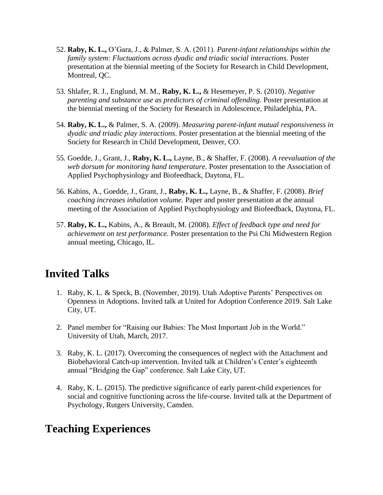- 52. **Raby, K. L.,** O'Gara, J., & Palmer, S. A. (2011). *Parent-infant relationships within the family system: Fluctuations across dyadic and triadic social interactions.* Poster presentation at the biennial meeting of the Society for Research in Child Development, Montreal, QC.
- 53. Shlafer, R. J., Englund, M. M., **Raby, K. L.,** & Hesemeyer, P. S. (2010). *Negative parenting and substance use as predictors of criminal offending.* Poster presentation at the biennial meeting of the Society for Research in Adolescence, Philadelphia, PA.
- 54. **Raby, K. L.,** & Palmer, S. A. (2009). *Measuring parent-infant mutual responsiveness in dyadic and triadic play interactions*. Poster presentation at the biennial meeting of the Society for Research in Child Development, Denver, CO.
- 55. Goedde, J., Grant, J., **Raby, K. L.,** Layne, B., & Shaffer, F. (2008). *A reevaluation of the web dorsum for monitoring hand temperature.* Poster presentation to the Association of Applied Psychophysiology and Biofeedback, Daytona, FL.
- 56. Kabins, A., Goedde, J., Grant, J., **Raby, K. L.,** Layne, B., & Shaffer, F. (2008). *Brief coaching increases inhalation volume.* Paper and poster presentation at the annual meeting of the Association of Applied Psychophysiology and Biofeedback, Daytona, FL.
- 57. **Raby, K. L.,** Kabins, A., & Breault, M. (2008). *Effect of feedback type and need for achievement on test performance.* Poster presentation to the Psi Chi Midwestern Region annual meeting, Chicago, IL.

### **Invited Talks**

- 1. Raby, K. L. & Speck, B. (November, 2019). Utah Adoptive Parents' Perspectives on Openness in Adoptions. Invited talk at United for Adoption Conference 2019. Salt Lake City, UT.
- 2. Panel member for "Raising our Babies: The Most Important Job in the World." University of Utah, March, 2017.
- 3. Raby, K. L. (2017). Overcoming the consequences of neglect with the Attachment and Biobehavioral Catch-up intervention. Invited talk at Children's Center's eighteenth annual "Bridging the Gap" conference. Salt Lake City, UT.
- 4. Raby, K. L. (2015). The predictive significance of early parent-child experiences for social and cognitive functioning across the life-course. Invited talk at the Department of Psychology, Rutgers University, Camden.

### **Teaching Experiences**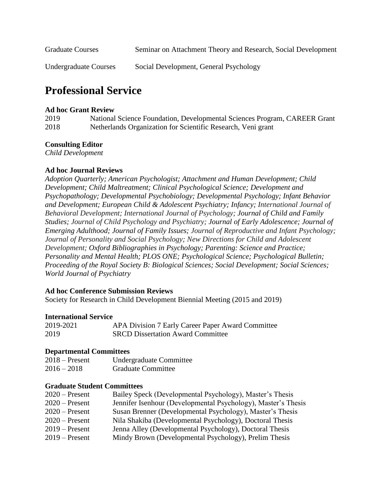| <b>Graduate Courses</b>      | Seminar on Attachment Theory and Research, Social Development |
|------------------------------|---------------------------------------------------------------|
| <b>Undergraduate Courses</b> | Social Development, General Psychology                        |

## **Professional Service**

#### **Ad hoc Grant Review**

| 2019 | National Science Foundation, Developmental Sciences Program, CAREER Grant |
|------|---------------------------------------------------------------------------|
| 2018 | Netherlands Organization for Scientific Research, Veni grant              |

#### **Consulting Editor**

*Child Development* 

### **Ad hoc Journal Reviews**

*Adoption Quarterly; American Psychologist; Attachment and Human Development; Child Development; Child Maltreatment; Clinical Psychological Science; Development and Psychopathology; Developmental Psychobiology; Developmental Psychology; Infant Behavior and Development; European Child & Adolescent Psychiatry; Infancy; International Journal of Behavioral Development; International Journal of Psychology; Journal of Child and Family Studies; Journal of Child Psychology and Psychiatry; Journal of Early Adolescence; Journal of Emerging Adulthood; Journal of Family Issues; Journal of Reproductive and Infant Psychology; Journal of Personality and Social Psychology; New Directions for Child and Adolescent Development; Oxford Bibliographies in Psychology; Parenting: Science and Practice; Personality and Mental Health; PLOS ONE; Psychological Science; Psychological Bulletin; Proceeding of the Royal Society B: Biological Sciences; Social Development; Social Sciences; World Journal of Psychiatry*

#### **Ad hoc Conference Submission Reviews**

Society for Research in Child Development Biennial Meeting (2015 and 2019)

#### **International Service**

| 2019-2021 | APA Division 7 Early Career Paper Award Committee |
|-----------|---------------------------------------------------|
| 2019      | <b>SRCD Dissertation Award Committee</b>          |

#### **Departmental Committees**

| $2018 -$ Present | Undergraduate Committee   |
|------------------|---------------------------|
| $2016 - 2018$    | <b>Graduate Committee</b> |

#### **Graduate Student Committees**

| $2020$ – Present | Bailey Speck (Developmental Psychology), Master's Thesis      |
|------------------|---------------------------------------------------------------|
| $2020$ – Present | Jennifer Isenhour (Developmental Psychology), Master's Thesis |
| $2020$ – Present | Susan Brenner (Developmental Psychology), Master's Thesis     |
| $2020$ – Present | Nila Shakiba (Developmental Psychology), Doctoral Thesis      |
| $2019$ – Present | Jenna Alley (Developmental Psychology), Doctoral Thesis       |
| $2019$ – Present | Mindy Brown (Developmental Psychology), Prelim Thesis         |